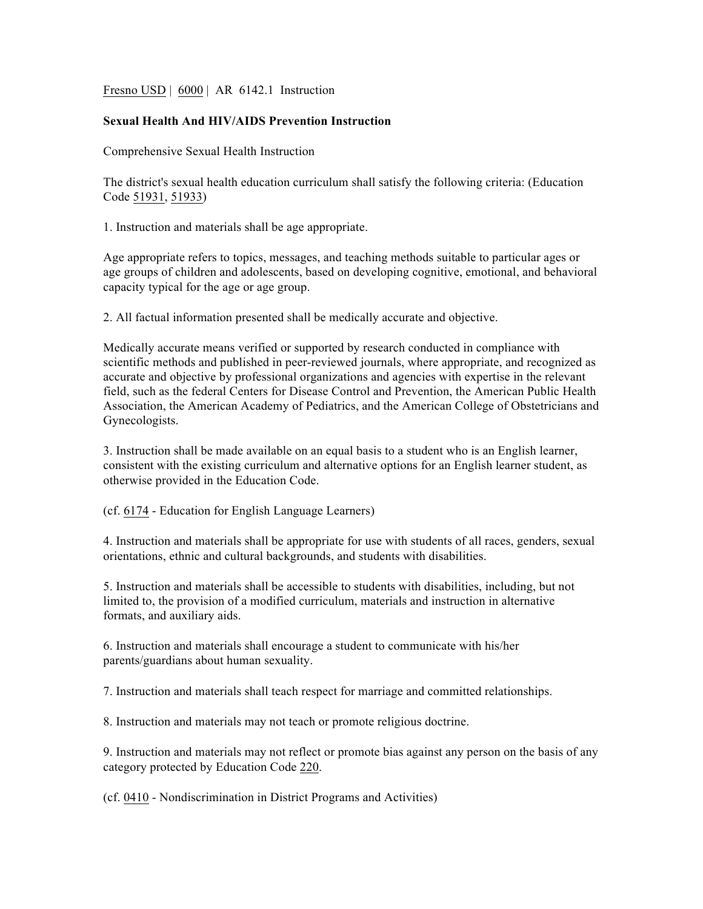Fresno USD | 6000 | AR 6142.1 Instruction

## **Sexual Health And HIV/AIDS Prevention Instruction**

Comprehensive Sexual Health Instruction

The district's sexual health education curriculum shall satisfy the following criteria: (Education Code 51931, 51933)

1. Instruction and materials shall be age appropriate.

Age appropriate refers to topics, messages, and teaching methods suitable to particular ages or age groups of children and adolescents, based on developing cognitive, emotional, and behavioral capacity typical for the age or age group.

2. All factual information presented shall be medically accurate and objective.

Medically accurate means verified or supported by research conducted in compliance with scientific methods and published in peer-reviewed journals, where appropriate, and recognized as accurate and objective by professional organizations and agencies with expertise in the relevant field, such as the federal Centers for Disease Control and Prevention, the American Public Health Association, the American Academy of Pediatrics, and the American College of Obstetricians and Gynecologists.

3. Instruction shall be made available on an equal basis to a student who is an English learner, consistent with the existing curriculum and alternative options for an English learner student, as otherwise provided in the Education Code.

(cf. 6174 - Education for English Language Learners)

4. Instruction and materials shall be appropriate for use with students of all races, genders, sexual orientations, ethnic and cultural backgrounds, and students with disabilities.

5. Instruction and materials shall be accessible to students with disabilities, including, but not limited to, the provision of a modified curriculum, materials and instruction in alternative formats, and auxiliary aids.

6. Instruction and materials shall encourage a student to communicate with his/her parents/guardians about human sexuality.

7. Instruction and materials shall teach respect for marriage and committed relationships.

8. Instruction and materials may not teach or promote religious doctrine.

9. Instruction and materials may not reflect or promote bias against any person on the basis of any category protected by Education Code 220.

(cf. 0410 - Nondiscrimination in District Programs and Activities)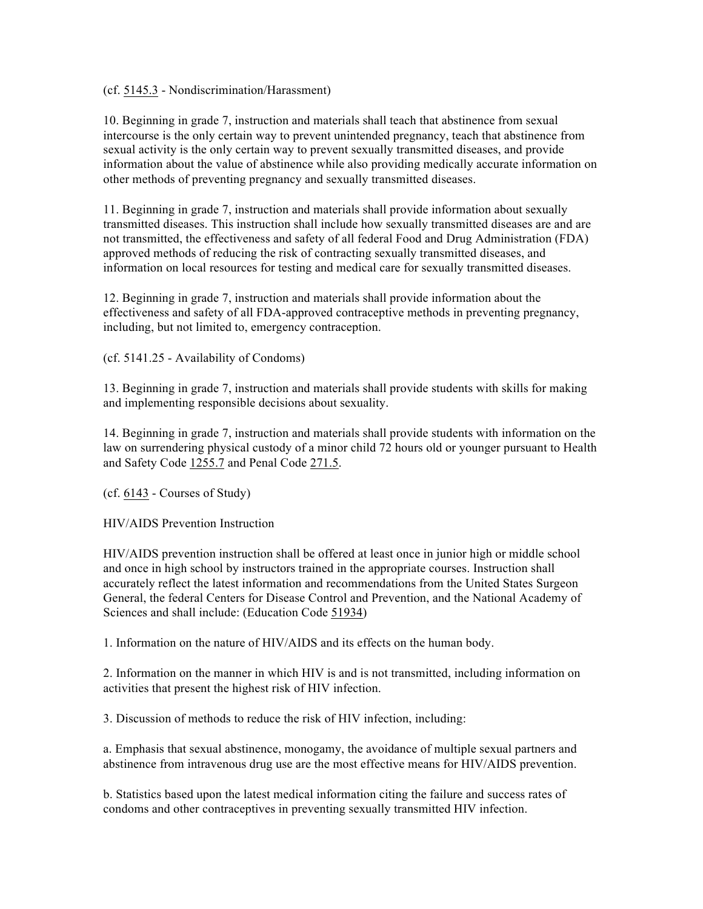(cf. 5145.3 - Nondiscrimination/Harassment)

10. Beginning in grade 7, instruction and materials shall teach that abstinence from sexual intercourse is the only certain way to prevent unintended pregnancy, teach that abstinence from sexual activity is the only certain way to prevent sexually transmitted diseases, and provide information about the value of abstinence while also providing medically accurate information on other methods of preventing pregnancy and sexually transmitted diseases.

11. Beginning in grade 7, instruction and materials shall provide information about sexually transmitted diseases. This instruction shall include how sexually transmitted diseases are and are not transmitted, the effectiveness and safety of all federal Food and Drug Administration (FDA) approved methods of reducing the risk of contracting sexually transmitted diseases, and information on local resources for testing and medical care for sexually transmitted diseases.

12. Beginning in grade 7, instruction and materials shall provide information about the effectiveness and safety of all FDA-approved contraceptive methods in preventing pregnancy, including, but not limited to, emergency contraception.

(cf. 5141.25 - Availability of Condoms)

13. Beginning in grade 7, instruction and materials shall provide students with skills for making and implementing responsible decisions about sexuality.

14. Beginning in grade 7, instruction and materials shall provide students with information on the law on surrendering physical custody of a minor child 72 hours old or younger pursuant to Health and Safety Code 1255.7 and Penal Code 271.5.

(cf. 6143 - Courses of Study)

HIV/AIDS Prevention Instruction

HIV/AIDS prevention instruction shall be offered at least once in junior high or middle school and once in high school by instructors trained in the appropriate courses. Instruction shall accurately reflect the latest information and recommendations from the United States Surgeon General, the federal Centers for Disease Control and Prevention, and the National Academy of Sciences and shall include: (Education Code 51934)

1. Information on the nature of HIV/AIDS and its effects on the human body.

2. Information on the manner in which HIV is and is not transmitted, including information on activities that present the highest risk of HIV infection.

3. Discussion of methods to reduce the risk of HIV infection, including:

a. Emphasis that sexual abstinence, monogamy, the avoidance of multiple sexual partners and abstinence from intravenous drug use are the most effective means for HIV/AIDS prevention.

b. Statistics based upon the latest medical information citing the failure and success rates of condoms and other contraceptives in preventing sexually transmitted HIV infection.